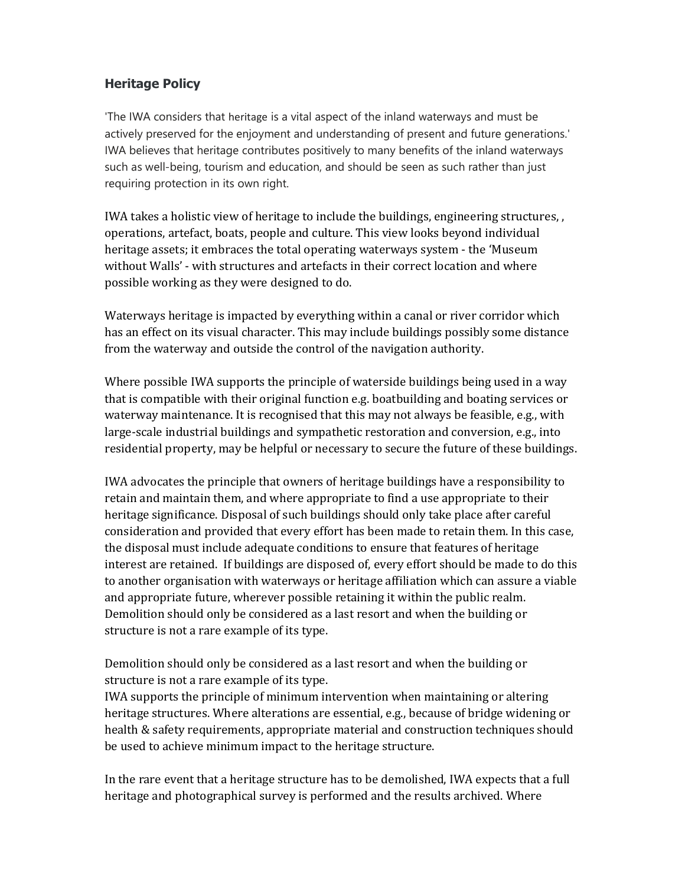# Heritage Policy

'The IWA considers that heritage is a vital aspect of the inland waterways and must be actively preserved for the enjoyment and understanding of present and future generations.' IWA believes that heritage contributes positively to many benefits of the inland waterways such as well-being, tourism and education, and should be seen as such rather than just requiring protection in its own right.

IWA takes a holistic view of heritage to include the buildings, engineering structures, , operations, artefact, boats, people and culture. This view looks beyond individual heritage assets; it embraces the total operating waterways system - the 'Museum without Walls' - with structures and artefacts in their correct location and where possible working as they were designed to do.

Waterways heritage is impacted by everything within a canal or river corridor which has an effect on its visual character. This may include buildings possibly some distance from the waterway and outside the control of the navigation authority.

Where possible IWA supports the principle of waterside buildings being used in a way that is compatible with their original function e.g. boatbuilding and boating services or waterway maintenance. It is recognised that this may not always be feasible, e.g., with large-scale industrial buildings and sympathetic restoration and conversion, e.g., into residential property, may be helpful or necessary to secure the future of these buildings.

IWA advocates the principle that owners of heritage buildings have a responsibility to retain and maintain them, and where appropriate to find a use appropriate to their heritage significance. Disposal of such buildings should only take place after careful consideration and provided that every effort has been made to retain them. In this case, the disposal must include adequate conditions to ensure that features of heritage interest are retained. If buildings are disposed of, every effort should be made to do this to another organisation with waterways or heritage affiliation which can assure a viable and appropriate future, wherever possible retaining it within the public realm. Demolition should only be considered as a last resort and when the building or structure is not a rare example of its type.

Demolition should only be considered as a last resort and when the building or structure is not a rare example of its type.

IWA supports the principle of minimum intervention when maintaining or altering heritage structures. Where alterations are essential, e.g., because of bridge widening or health & safety requirements, appropriate material and construction techniques should be used to achieve minimum impact to the heritage structure.

In the rare event that a heritage structure has to be demolished, IWA expects that a full heritage and photographical survey is performed and the results archived. Where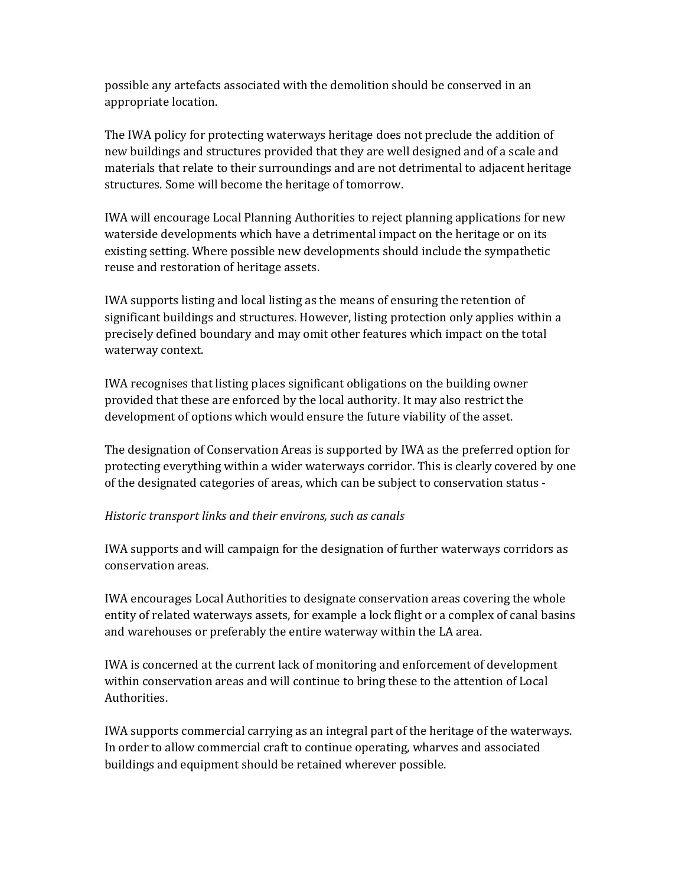possible any artefacts associated with the demolition should be conserved in an appropriate location.

The IWA policy for protecting waterways heritage does not preclude the addition of new buildings and structures provided that they are well designed and of a scale and materials that relate to their surroundings and are not detrimental to adjacent heritage structures. Some will become the heritage of tomorrow.

IWA will encourage Local Planning Authorities to reject planning applications for new waterside developments which have a detrimental impact on the heritage or on its existing setting. Where possible new developments should include the sympathetic reuse and restoration of heritage assets.

IWA supports listing and local listing as the means of ensuring the retention of significant buildings and structures. However, listing protection only applies within a precisely defined boundary and may omit other features which impact on the total waterway context.

IWA recognises that listing places significant obligations on the building owner provided that these are enforced by the local authority. It may also restrict the development of options which would ensure the future viability of the asset.

The designation of Conservation Areas is supported by IWA as the preferred option for protecting everything within a wider waterways corridor. This is clearly covered by one of the designated categories of areas, which can be subject to conservation status -

#### Historic transport links and their environs, such as canals

IWA supports and will campaign for the designation of further waterways corridors as conservation areas.

IWA encourages Local Authorities to designate conservation areas covering the whole entity of related waterways assets, for example a lock flight or a complex of canal basins and warehouses or preferably the entire waterway within the LA area.

IWA is concerned at the current lack of monitoring and enforcement of development within conservation areas and will continue to bring these to the attention of Local Authorities.

IWA supports commercial carrying as an integral part of the heritage of the waterways. In order to allow commercial craft to continue operating, wharves and associated buildings and equipment should be retained wherever possible.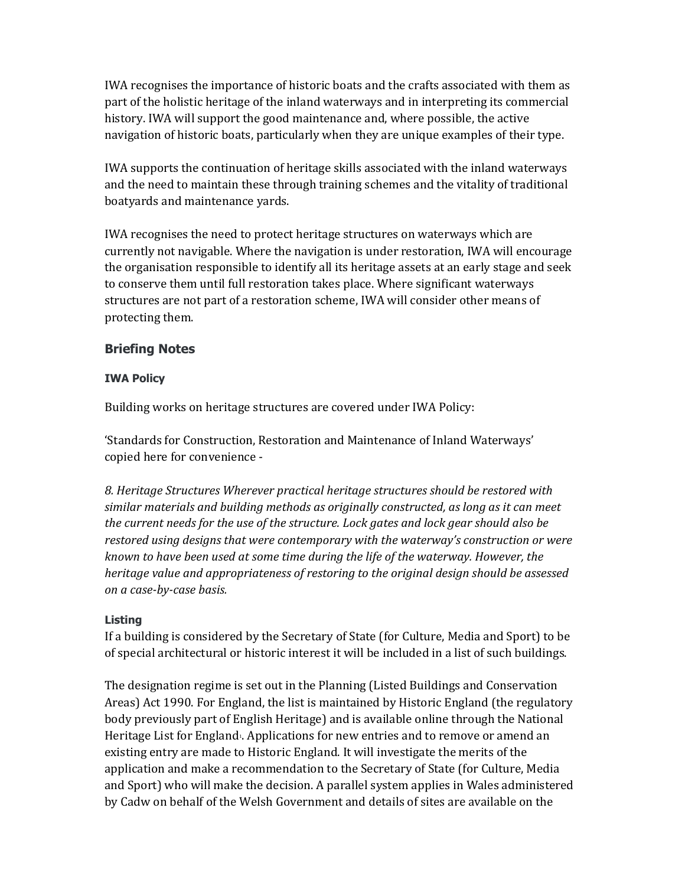IWA recognises the importance of historic boats and the crafts associated with them as part of the holistic heritage of the inland waterways and in interpreting its commercial history. IWA will support the good maintenance and, where possible, the active navigation of historic boats, particularly when they are unique examples of their type.

IWA supports the continuation of heritage skills associated with the inland waterways and the need to maintain these through training schemes and the vitality of traditional boatyards and maintenance yards.

IWA recognises the need to protect heritage structures on waterways which are currently not navigable. Where the navigation is under restoration, IWA will encourage the organisation responsible to identify all its heritage assets at an early stage and seek to conserve them until full restoration takes place. Where significant waterways structures are not part of a restoration scheme, IWA will consider other means of protecting them.

### Briefing Notes

#### IWA Policy

Building works on heritage structures are covered under IWA Policy:

'Standards for Construction, Restoration and Maintenance of Inland Waterways' copied here for convenience -

8. Heritage Structures Wherever practical heritage structures should be restored with similar materials and building methods as originally constructed, as long as it can meet the current needs for the use of the structure. Lock gates and lock gear should also be restored using designs that were contemporary with the waterway's construction or were known to have been used at some time during the life of the waterway. However, the heritage value and appropriateness of restoring to the original design should be assessed on a case-by-case basis.

#### Listing

If a building is considered by the Secretary of State (for Culture, Media and Sport) to be of special architectural or historic interest it will be included in a list of such buildings.

The designation regime is set out in the Planning (Listed Buildings and Conservation Areas) Act 1990. For England, the list is maintained by Historic England (the regulatory body previously part of English Heritage) and is available online through the National Heritage List for England<sub><sup>1</sub></sup>. Applications for new entries and to remove or amend an</sub> existing entry are made to Historic England. It will investigate the merits of the application and make a recommendation to the Secretary of State (for Culture, Media and Sport) who will make the decision. A parallel system applies in Wales administered by Cadw on behalf of the Welsh Government and details of sites are available on the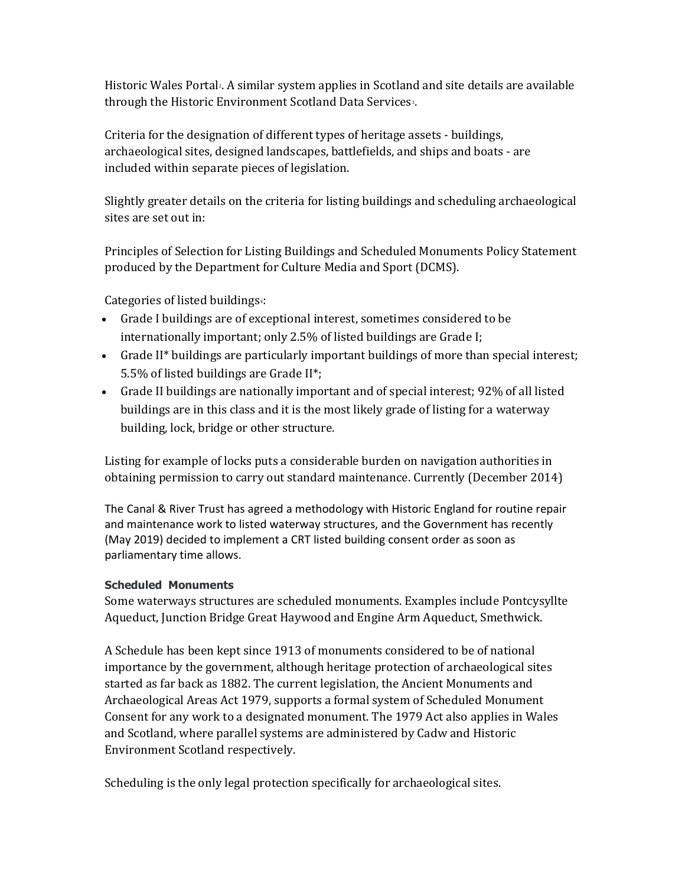Historic Wales Portal: A similar system applies in Scotland and site details are available through the Historic Environment Scotland Data Services<sup>3</sup>.

Criteria for the designation of different types of heritage assets - buildings, archaeological sites, designed landscapes, battlefields, and ships and boats - are included within separate pieces of legislation.

Slightly greater details on the criteria for listing buildings and scheduling archaeological sites are set out in:

Principles of Selection for Listing Buildings and Scheduled Monuments Policy Statement produced by the Department for Culture Media and Sport (DCMS).

Categories of listed buildings4:

- Grade I buildings are of exceptional interest, sometimes considered to be internationally important; only 2.5% of listed buildings are Grade I;
- Grade II\* buildings are particularly important buildings of more than special interest; 5.5% of listed buildings are Grade II\*;
- Grade II buildings are nationally important and of special interest; 92% of all listed buildings are in this class and it is the most likely grade of listing for a waterway building, lock, bridge or other structure.

Listing for example of locks puts a considerable burden on navigation authorities in obtaining permission to carry out standard maintenance. Currently (December 2014)

The Canal & River Trust has agreed a methodology with Historic England for routine repair and maintenance work to listed waterway structures, and the Government has recently (May 2019) decided to implement a CRT listed building consent order as soon as parliamentary time allows.

#### Scheduled Monuments

Some waterways structures are scheduled monuments. Examples include Pontcysyllte Aqueduct, Junction Bridge Great Haywood and Engine Arm Aqueduct, Smethwick.

A Schedule has been kept since 1913 of monuments considered to be of national importance by the government, although heritage protection of archaeological sites started as far back as 1882. The current legislation, the Ancient Monuments and Archaeological Areas Act 1979, supports a formal system of Scheduled Monument Consent for any work to a designated monument. The 1979 Act also applies in Wales and Scotland, where parallel systems are administered by Cadw and Historic Environment Scotland respectively.

Scheduling is the only legal protection specifically for archaeological sites.